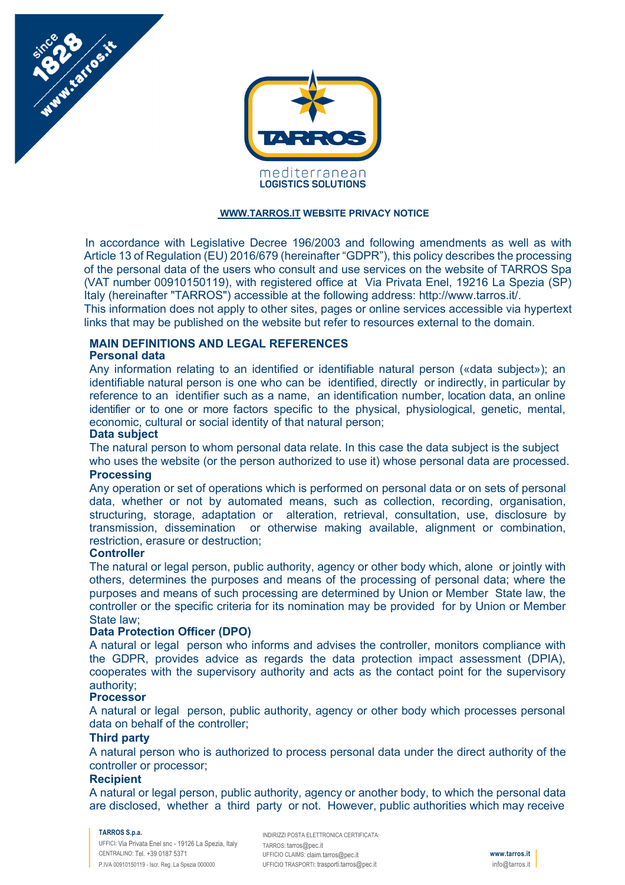



#### **WWW.TARROS.IT WEBSITE PRIVACY NOTICE**

In accordance with Legislative Decree 196/2003 and following amendments as well as with Article 13 of Regulation (EU) 2016/679 (hereinafter "GDPR"), this policy describes the processing of the personal data of the users who consult and use services on the website of TARROS Spa (VAT number 00910150119), with registered office at Via Privata Enel, 19216 La Spezia (SP) Italy (hereinafter "TARROS") accessible at the following address: http://www.tarros.it/. This information does not apply to other sites, pages or online services accessible via hypertext

links that may be published on the website but refer to resources external to the domain.

# **MAIN DEFINITIONS AND LEGAL REFERENCES**

# **Personal data**

Any information relating to an identified or identifiable natural person («data subject»); an identifiable natural person is one who can be identified, directly or indirectly, in particular by reference to an identifier such as a name, an identification number, location data, an online identifier or to one or more factors specific to the physical, physiological, genetic, mental, economic, cultural or social identity of that natural person;

#### **Data subject**

The natural person to whom personal data relate. In this case the data subject is the subject who uses the website (or the person authorized to use it) whose personal data are processed.

### **Processing**

Any operation or set of operations which is performed on personal data or on sets of personal data, whether or not by automated means, such as collection, recording, organisation, structuring, storage, adaptation or alteration, retrieval, consultation, use, disclosure by transmission, dissemination or otherwise making available, alignment or combination, restriction, erasure or destruction;

# **Controller**

The natural or legal person, public authority, agency or other body which, alone or jointly with others, determines the purposes and means of the processing of personal data; where the purposes and means of such processing are determined by Union or Member State law, the controller or the specific criteria for its nomination may be provided for by Union or Member State law;

# **Data Protection Officer (DPO)**

A natural or legal person who informs and advises the controller, monitors compliance with the GDPR, provides advice as regards the data protection impact assessment (DPIA), cooperates with the supervisory authority and acts as the contact point for the supervisory authority;

#### **Processor**

A natural or legal person, public authority, agency or other body which processes personal data on behalf of the controller;

#### **Third party**

A natural person who is authorized to process personal data under the direct authority of the controller or processor;

# **Recipient**

A natural or legal person, public authority, agency or another body, to which the personal data are disclosed, whether a third party or not. However, public authorities which may receive

#### **TARROS S.p.a.**

UFFICI: Via Privata Enel snc - 19126 La Spezia, Italy CENTRALINO: Tel. +39 0187 5371 P.IVA 00910150119 - Iscr. Reg. La Spezia 000000

INDIRIZZI POSTA ELETTRONICA CERTIFICATA: TARROS: tarros@pec.it UFFICIO CLAIMS: claim.tarros@pec.it UFFICIO TRASPORTI: trasporti.tarros@pec.it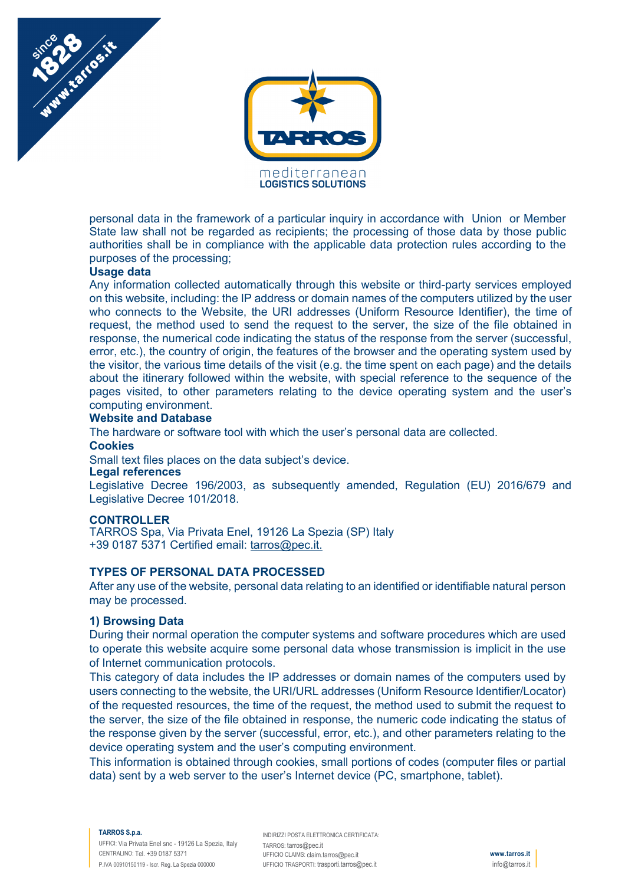



personal data in the framework of a particular inquiry in accordance with Union or Member State law shall not be regarded as recipients; the processing of those data by those public authorities shall be in compliance with the applicable data protection rules according to the purposes of the processing;

# **Usage data**

Any information collected automatically through this website or third-party services employed on this website, including: the IP address or domain names of the computers utilized by the user who connects to the Website, the URI addresses (Uniform Resource Identifier), the time of request, the method used to send the request to the server, the size of the file obtained in response, the numerical code indicating the status of the response from the server (successful, error, etc.), the country of origin, the features of the browser and the operating system used by the visitor, the various time details of the visit (e.g. the time spent on each page) and the details about the itinerary followed within the website, with special reference to the sequence of the pages visited, to other parameters relating to the device operating system and the user's computing environment.

# **Website and Database**

The hardware or software tool with which the user's personal data are collected.

**Cookies**

Small text files places on the data subject's device.

### **Legal references**

Legislative Decree 196/2003, as subsequently amended, Regulation (EU) 2016/679 and Legislative Decree 101/2018.

### **CONTROLLER**

TARROS Spa, Via Privata Enel, 19126 La Spezia (SP) Italy +39 0187 5371 Certified email: tarros@pec.it.

# **TYPES OF PERSONAL DATA PROCESSED**

After any use of the website, personal data relating to an identified or identifiable natural person may be processed.

### **1) Browsing Data**

During their normal operation the computer systems and software procedures which are used to operate this website acquire some personal data whose transmission is implicit in the use of Internet communication protocols.

This category of data includes the IP addresses or domain names of the computers used by users connecting to the website, the URI/URL addresses (Uniform Resource Identifier/Locator) of the requested resources, the time of the request, the method used to submit the request to the server, the size of the file obtained in response, the numeric code indicating the status of the response given by the server (successful, error, etc.), and other parameters relating to the device operating system and the user's computing environment.

This information is obtained through cookies, small portions of codes (computer files or partial data) sent by a web server to the user's Internet device (PC, smartphone, tablet).

#### **TARROS S.p.a.**

UFFICI: Via Privata Enel snc - 19126 La Spezia, Italy CENTRALINO: Tel. +39 0187 5371 P.IVA 00910150119 - Iscr. Reg. La Spezia 000000

INDIRIZZI POSTA ELETTRONICA CERTIFICATA: TARROS: tarros@pec.it UFFICIO CLAIMS: claim.tarros@pec.it UFFICIO TRASPORTI: trasporti.tarros@pec.it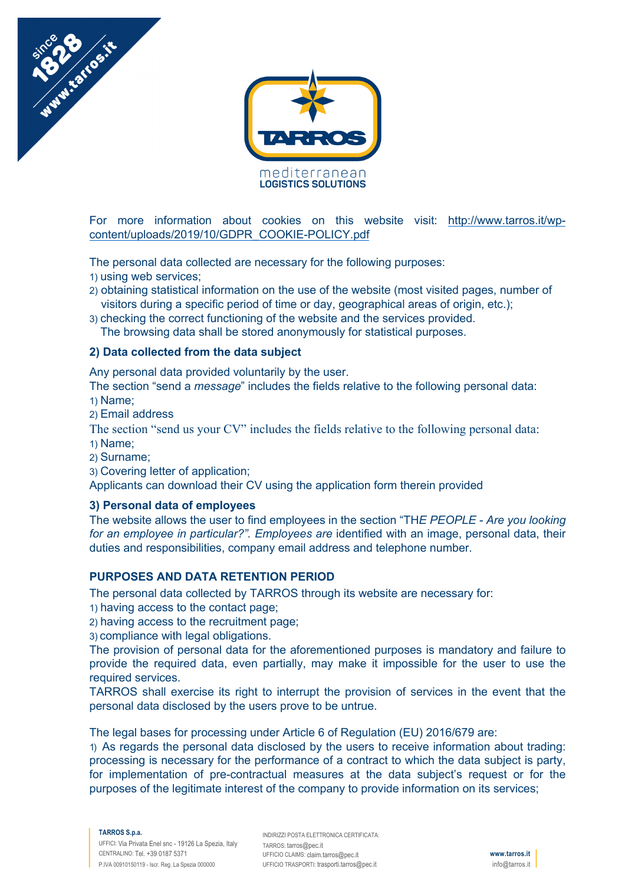



For more information about cookies on this website visit: http://www.tarros.it/wpcontent/uploads/2019/10/GDPR\_COOKIE-POLICY.pdf

The personal data collected are necessary for the following purposes:

- 1) using web services;
- 2) obtaining statistical information on the use of the website (most visited pages, number of visitors during a specific period of time or day, geographical areas of origin, etc.);
- 3) checking the correct functioning of the website and the services provided. The browsing data shall be stored anonymously for statistical purposes.

# **2) Data collected from the data subject**

Any personal data provided voluntarily by the user.

The section "send a *message*" includes the fields relative to the following personal data: 1) Name;

2) Email address

The section "send us your CV" includes the fields relative to the following personal data: 1) Name;

- 2) Surname;
- 3) Covering letter of application;

Applicants can download their CV using the application form therein provided

# **3) Personal data of employees**

The website allows the user to find employees in the section "TH*E PEOPLE - Are you looking for an employee in particular?". Employees are* identified with an image, personal data, their duties and responsibilities, company email address and telephone number.

# **PURPOSES AND DATA RETENTION PERIOD**

The personal data collected by TARROS through its website are necessary for:

- 1) having access to the contact page;
- 2) having access to the recruitment page;

3) compliance with legal obligations.

The provision of personal data for the aforementioned purposes is mandatory and failure to provide the required data, even partially, may make it impossible for the user to use the required services.

TARROS shall exercise its right to interrupt the provision of services in the event that the personal data disclosed by the users prove to be untrue.

The legal bases for processing under Article 6 of Regulation (EU) 2016/679 are:

1) As regards the personal data disclosed by the users to receive information about trading: processing is necessary for the performance of a contract to which the data subject is party, for implementation of pre-contractual measures at the data subject's request or for the purposes of the legitimate interest of the company to provide information on its services;

#### **TARROS S.p.a.**

UFFICI: Via Privata Enel snc - 19126 La Spezia, Italy CENTRALINO: Tel. +39 0187 5371 P.IVA 00910150119 - Iscr. Reg. La Spezia 000000

INDIRIZZI POSTA ELETTRONICA CERTIFICATA: TARROS: tarros@pec.it UFFICIO CLAIMS: claim.tarros@pec.it UFFICIO TRASPORTI: trasporti.tarros@pec.it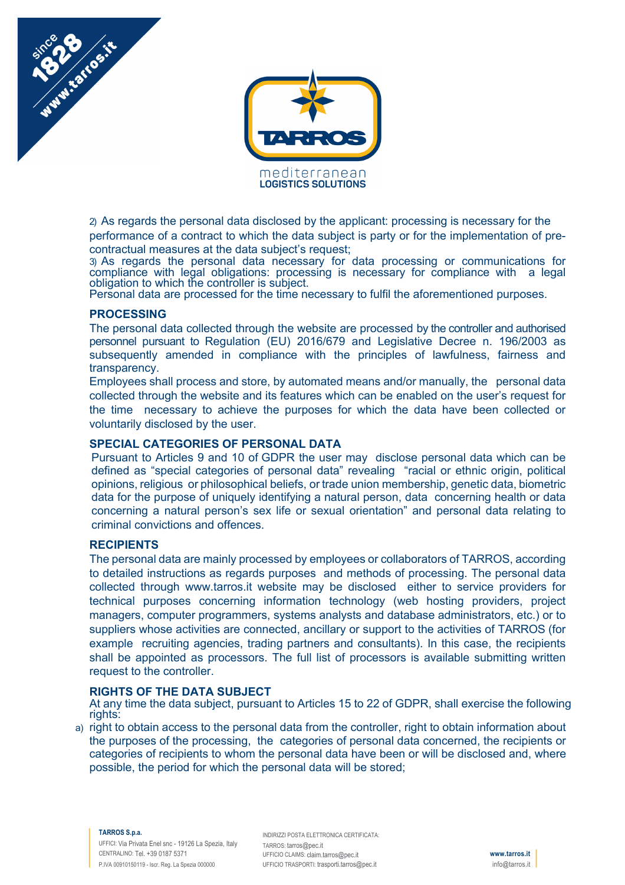



2) As regards the personal data disclosed by the applicant: processing is necessary for the performance of a contract to which the data subject is party or for the implementation of precontractual measures at the data subject's request;

3) As regards the personal data necessary for data processing or communications for compliance with legal obligations: processing is necessary for compliance with a legal obligation to which the controller is subject.

Personal data are processed for the time necessary to fulfil the aforementioned purposes.

# **PROCESSING**

The personal data collected through the website are processed by the controller and authorised personnel pursuant to Regulation (EU) 2016/679 and Legislative Decree n. 196/2003 as subsequently amended in compliance with the principles of lawfulness, fairness and transparency.

Employees shall process and store, by automated means and/or manually, the personal data collected through the website and its features which can be enabled on the user's request for the time necessary to achieve the purposes for which the data have been collected or voluntarily disclosed by the user.

# **SPECIAL CATEGORIES OF PERSONAL DATA**

Pursuant to Articles 9 and 10 of GDPR the user may disclose personal data which can be defined as "special categories of personal data" revealing "racial or ethnic origin, political opinions, religious or philosophical beliefs, or trade union membership, genetic data, biometric data for the purpose of uniquely identifying a natural person, data concerning health or data concerning a natural person's sex life or sexual orientation" and personal data relating to criminal convictions and offences.

### **RECIPIENTS**

The personal data are mainly processed by employees or collaborators of TARROS, according to detailed instructions as regards purposes and methods of processing. The personal data collected through www.tarros.it website may be disclosed either to service providers for technical purposes concerning information technology (web hosting providers, project managers, computer programmers, systems analysts and database administrators, etc.) or to suppliers whose activities are connected, ancillary or support to the activities of TARROS (for example recruiting agencies, trading partners and consultants). In this case, the recipients shall be appointed as processors. The full list of processors is available submitting written request to the controller.

### **RIGHTS OF THE DATA SUBJECT**

At any time the data subject, pursuant to Articles 15 to 22 of GDPR, shall exercise the following rights:

a) right to obtain access to the personal data from the controller, right to obtain information about the purposes of the processing, the categories of personal data concerned, the recipients or categories of recipients to whom the personal data have been or will be disclosed and, where possible, the period for which the personal data will be stored;

#### **TARROS S.p.a.**

UFFICI: Via Privata Enel snc - 19126 La Spezia, Italy CENTRALINO: Tel. +39 0187 5371 P.IVA 00910150119 - Iscr. Reg. La Spezia 000000

INDIRIZZI POSTA ELETTRONICA CERTIFICATA: TARROS: tarros@pec.it UFFICIO CLAIMS: claim.tarros@pec.it UFFICIO TRASPORTI: trasporti.tarros@pec.it